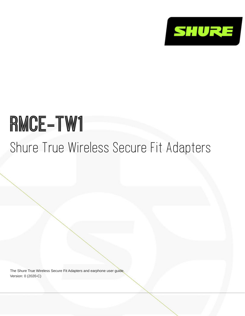

# RMCE-TW1

Shure True Wireless Secure Fit Adapters

The Shure True Wireless Secure Fit Adapters and earphone user guide. Version: 0 (2020-C)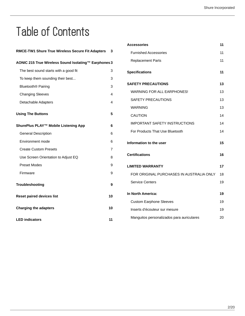# Table of Contents

| <b>RMCE-TW1 Shure True Wireless Secure Fit Adapters</b> | 3  |
|---------------------------------------------------------|----|
| AONIC 215 True Wireless Sound Isolating™ Earphones 3    |    |
| The best sound starts with a good fit                   | 3  |
| To keep them sounding their best                        | 3  |
| Bluetooth <sup>®</sup> Pairing                          | 3  |
| <b>Changing Sleeves</b>                                 | 4  |
| Detachable Adapters                                     | 4  |
| <b>Using The Buttons</b>                                | 5  |
| ShurePlus PLAY™ Mobile Listening App                    | 6  |
| <b>General Description</b>                              | 6  |
| Environment mode                                        | 6  |
| <b>Create Custom Presets</b>                            | 7  |
| Use Screen Orientation to Adjust EQ                     | 8  |
| <b>Preset Modes</b>                                     | 9  |
| Firmware                                                | 9  |
| Troubleshooting                                         | 9  |
| <b>Reset paired devices list</b>                        | 10 |
| <b>Charging the adapters</b>                            | 10 |
| <b>LED indicators</b>                                   | 11 |

| <b>Accessories</b>                        | 11 |
|-------------------------------------------|----|
| <b>Furnished Accessories</b>              | 11 |
| <b>Replacement Parts</b>                  | 11 |
| <b>Specifications</b>                     | 11 |
| <b>SAFETY PRECAUTIONS</b>                 | 13 |
| WARNING FOR ALL EARPHONES!                | 13 |
| <b>SAFETY PRECAUTIONS</b>                 | 13 |
| WARNING                                   | 13 |
| <b>CAUTION</b>                            | 14 |
| <b>IMPORTANT SAFETY INSTRUCTIONS</b>      | 14 |
| For Products That Use Bluetooth           | 14 |
| Information to the user                   | 15 |
| <b>Certifications</b>                     | 16 |
| <b>LIMITED WARRANTY</b>                   | 17 |
| FOR ORIGINAL PURCHASES IN AUSTRALIA ONLY  | 18 |
| <b>Service Centers</b>                    | 19 |
| In North America:                         | 19 |
| <b>Custom Earphone Sleeves</b>            | 19 |
| Inserts d'écouteur sur mesure             | 19 |
| Manguitos personalizados para auriculares | 20 |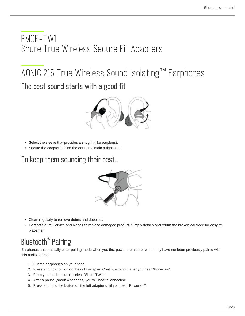# <span id="page-2-0"></span>RMCE-TW1 Shure True Wireless Secure Fit Adapters

# <span id="page-2-2"></span><span id="page-2-1"></span>AONIC 215 True Wireless Sound Isolating™ Earphones The best sound starts with a good fit



- Select the sleeve that provides a snug fit (like earplugs).
- Secure the adapter behind the ear to maintain a tight seal.

<span id="page-2-3"></span>To keep them sounding their best...



- Clean regularly to remove debris and deposits.
- Contact Shure Service and Repair to replace damaged product. Simply detach and return the broken earpiece for easy replacement.

# <span id="page-2-4"></span>Bluetooth® Pairing

Earphones automatically enter pairing mode when you first power them on or when they have not been previously paired with this audio source.

- 1. Put the earphones on your head.
- 2. Press and hold button on the right adapter. Continue to hold after you hear "Power on".
- 3. From your audio source, select "Shure TW1."
- 4. After a pause (about 4 seconds) you will hear "Connected".
- 5. Press and hold the button on the left adapter until you hear "Power on".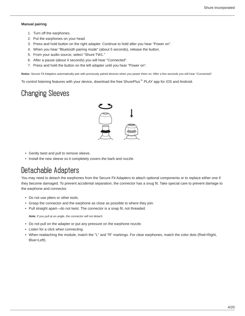#### **Manual pairing**

- 1. Turn off the earphones.
- 2. Put the earphones on your head.
- 3. Press and hold button on the right adapter. Continue to hold after you hear "Power on".
- 4. When you hear "Bluetooth pairing mode" (about 5 seconds), release the button.
- 5. From your audio source, select "Shure TW1."
- 6. After a pause (about 4 seconds) you will hear "Connected".
- 7. Press and hold the button on the left adapter until you hear "Power on".

**Notes:** Secure Fit Adapters automatically pair with previously paired devices when you power them on. After a few seconds you will hear "Connected".

To control listening features with your device, download the free ShurePlus™ PLAY app for iOS and Android.

# <span id="page-3-0"></span>Changing Sleeves



- Gently twist and pull to remove sleeve.
- Install the new sleeve so it completely covers the barb and nozzle.

## <span id="page-3-1"></span>Detachable Adapters

You may need to detach the earphones from the Secure Fit Adapters to attach optional components or to replace either one if they become damaged. To prevent accidental separation, the connector has a snug fit. Take special care to prevent damage to the earphone and connector.

- Do not use pliers or other tools.
- Grasp the connector and the earphone as close as possible to where they join.
- Pull straight apart—do not twist. The connector is a snap fit, not threaded.

*Note: If you pull at an angle, the connector will not detach.*

- Do not pull on the adapter or put any pressure on the earphone nozzle.
- Listen for a click when connecting.
- When reattaching the module, match the "L" and "R" markings. For clear earphones, match the color dots (Red=Right, Blue=Left).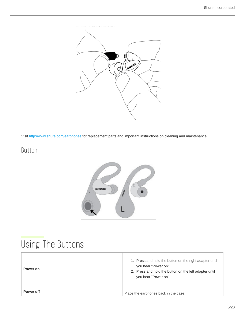

Visit http://www.shure.com/earphones for replacement parts and important instructions on cleaning and maintenance.

## Button



# <span id="page-4-0"></span>Using The Buttons

| Power on         | 1. Press and hold the button on the right adapter until<br>you hear "Power on".<br>2. Press and hold the button on the left adapter until<br>you hear "Power on". |
|------------------|-------------------------------------------------------------------------------------------------------------------------------------------------------------------|
| <b>Power off</b> | Place the earphones back in the case.                                                                                                                             |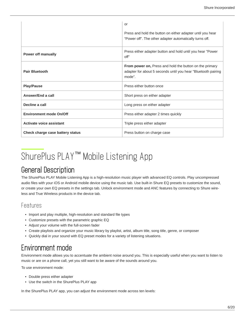|                                  | or<br>Press and hold the button on either adapter until you hear<br>"Power off". The other adapter automatically turns off.               |
|----------------------------------|-------------------------------------------------------------------------------------------------------------------------------------------|
| <b>Power off manually</b>        | Press either adapter button and hold until you hear "Power<br>$\Omega$ ff"                                                                |
| <b>Pair Bluetooth</b>            | <b>From power on, Press and hold the button on the primary</b><br>adapter for about 5 seconds until you hear "Bluetooth pairing<br>mode". |
| <b>Play/Pause</b>                | Press either button once                                                                                                                  |
| Answer/End a call                | Short press on either adapter                                                                                                             |
| Decline a call                   | Long press on either adapter                                                                                                              |
| <b>Environment mode On/Off</b>   | Press either adapter 2 times quickly                                                                                                      |
| <b>Activate voice assistant</b>  | Triple press either adapter                                                                                                               |
| Check charge case battery status | Press button on charge case                                                                                                               |

# <span id="page-5-0"></span>ShurePlus PLAY<sup>™</sup> Mobile Listening App

## <span id="page-5-1"></span>General Description

The ShurePlus PLAY Mobile Listening App is a high-resolution music player with advanced EQ controls. Play uncompressed audio files with your iOS or Android mobile device using the music tab. Use built-in Shure EQ presets to customize the sound, or create your own EQ presets in the settings tab. Unlock environment mode and ANC features by connecting to Shure wireless and True Wireless products in the device tab.

#### Features

- Import and play multiple, high-resolution and standard file types
- Customize presets with the parametric graphic EQ
- Adjust your volume with the full-screen fader
- Create playlists and organize your music library by playlist, artist, album title, song title, genre, or composer
- Quickly dial in your sound with EQ preset modes for a variety of listening situations.

# <span id="page-5-2"></span>Environment mode

Environment mode allows you to accentuate the ambient noise around you. This is especially useful when you want to listen to music or are on a phone call, yet you still want to be aware of the sounds around you.

To use environment mode:

- Double press either adapter
- Use the switch in the ShurePlus PLAY app

In the ShurePlus PLAY app, you can adjust the environment mode across ten levels: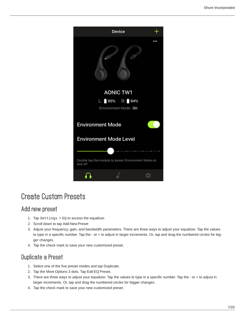

# <span id="page-6-0"></span>Create Custom Presets

#### Add new preset

- 1. Tap Settings > EQ to access the equalizer.
- 2. Scroll down to tap Add New Preset
- 3. Adjust your frequency, gain, and bandwidth parameters. There are three ways to adjust your equalizer. Tap the values to type in a specific number. Tap the - or + to adjust in larger increments. Or, tap and drag the numbered circles for bigger changes.
- 4. Tap the check mark to save your new customized preset.

#### Duplicate a Preset

- 1. Select one of the five preset modes and tap Duplicate.
- 2. Tap the More Options 3 dots. Tap Edit EQ Preset.
- 3. There are three ways to adjust your equalizer. Tap the values to type in a specific number. Tap the or + to adjust in larger increments. Or, tap and drag the numbered circles for bigger changes.
- 4. Tap the check mark to save your new customized preset.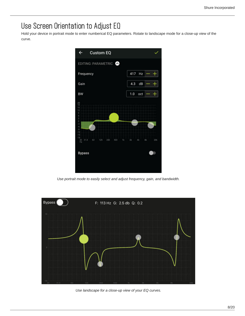# <span id="page-7-0"></span>Use Screen Orientation to Adjust EQ

Hold your device in portrait mode to enter numberical EQ parameters. Rotate to landscape mode for a close-up view of the curve.



*Use portrait mode to easily select and adjust frequency, gain, and bandwidth.*



*Use landscape for a close-up view of your EQ curves.*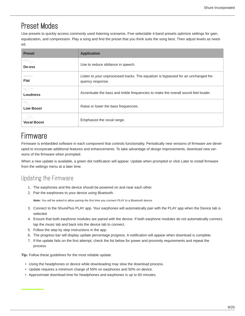## <span id="page-8-0"></span>Preset Modes

Use presets to quickly access commonly used listening scenarios. Five selectable 4-band presets optimize settings for gain, equalization, and compression. Play a song and find the preset that you think suits the song best. Then adjust levels as needed.

| <b>Preset</b>            | <b>Application</b>                                                                                     |
|--------------------------|--------------------------------------------------------------------------------------------------------|
| 두<br>De-ess              | Use to reduce sibilance in speech.                                                                     |
| <b>Flat</b>              | Listen to your unprocessed tracks. The equalizer is bypassed for an unchanged fre-<br>quency response. |
| <b>Loudness</b>          | Accentuate the bass and treble frequencies to make the overall sound feel louder.                      |
| <b>Low Boost</b>         | Raise or lower the bass frequencies.                                                                   |
| -5<br><b>Vocal Boost</b> | Emphasize the vocal range.                                                                             |

# <span id="page-8-1"></span>Firmware

Firmware is embedded software in each component that controls functionality. Periodically new versions of firmware are developed to incorporate additional features and enhancements. To take advantage of design improvements, download new versions of the firmware when prompted.

When a new update is available, a green dot notification will appear. Update when prompted or click Later to install firmware from the settings menu at a later time.

### Updating the Firmware

- 1. The earphones and the device should be powered on and near each other.
- 2. Pair the earphones to your device using Bluetooth.

*Note: You will be asked to allow pairing the first time you connect PLAY to a Bluetooth device.*

- 3. Connect to the ShurePlus PLAY app. Your earphones will automatically pair with the PLAY app when the Device tab is selected.
- 4. Ensure that both earphone modules are paired with the device. If both earphone modules do not automatically connect, tap the music tab and back into the device tab to connect.
- 5. Follow the step by step instructions in the app.
- 6. The progress bar will display update percentage progress. A notification will appear when download is complete.
- 7. If the update fails on the first attempt, check the list below for power and proximity requirements and repeat the process.

**Tip:** Follow these guidelines for the most reliable update.

- Using the headphones or device while downloading may slow the download process.
- Update requires a minimum charge of 50% on earphones and 50% on device.
- <span id="page-8-2"></span>• Approximate download time for headphones and earphones is up to 60 minutes.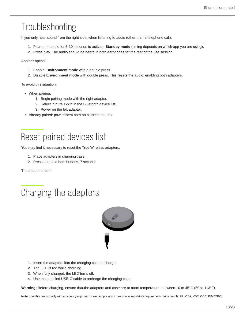# Troubleshooting

If you only hear sound from the right side, when listening to audio (other than a telephone call):

- 1. Pause the audio for 5-10 seconds to activate **Standby mode** (timing depends on which app you are using).
- 2. Press play. The audio should be heard in both earphones for the rest of the use session.

Another option:

- 1. Enable **Environment mode** with a double press.
- 2. Disable **Environment mode** with double press. This resets the audio, enabling both adapters.

To avoid this situation:

- When pairing:
	- 1. Begin pairing mode with the right adapter.
	- 2. Select "Shure TW1" in the Bluetooth device list.
	- 3. Power on the left adapter.
- Already paired: power them both on at the same time

# <span id="page-9-0"></span>Reset paired devices list

You may find it necessary to reset the True Wireless adapters.

- 1. Place adapters in charging case
- 2. Press and hold both buttons, 7 seconds

The adapters reset.

<span id="page-9-1"></span>



- 1. Insert the adapters into the charging case to charge.
- 2. The LED is red while charging.
- 3. When fully charged, the LED turns off.
- 4. Use the supplied USB-C cable to recharge the charging case.

**Warning:** Before charging, ensure that the adapters and case are at room temperature, between 10 to 45°C (50 to 113°F).

**Note:** Use this product only with an agency approved power supply which meets local regulatory requirements (for example, UL, CSA, VDE, CCC, INMETRO).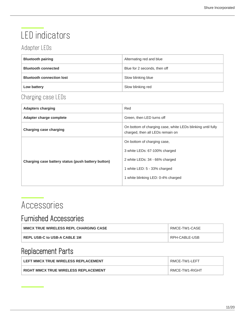# <span id="page-10-0"></span>LED indicators

## Adapter LEDs

| <b>Bluetooth pairing</b>         | Alternating red and blue     |
|----------------------------------|------------------------------|
| <b>Bluetooth connected</b>       | Blue for 2 seconds, then off |
| <b>Bluetooth connection lost</b> | Slow blinking blue           |
| Low battery                      | Slow blinking red            |

## Charging case LEDs

| <b>Adapters charging</b>                           | Red                                                                                             |
|----------------------------------------------------|-------------------------------------------------------------------------------------------------|
| Adapter charge complete                            | Green, then LED turns off                                                                       |
| Charging case charging                             | On bottom of charging case, white LEDs blinking until fully<br>charged, then all LEDs remain on |
| Charging case battery status (push battery button) | On bottom of charging case,                                                                     |
|                                                    | 3 white LEDs: 67-100% charged                                                                   |
|                                                    | 2 white LEDs: 34 - 66% charged                                                                  |
|                                                    | 1 white LED: 5 - 33% charged                                                                    |
|                                                    | 1 white blinking LED: 0-4% charged                                                              |
|                                                    |                                                                                                 |

# <span id="page-10-1"></span>Accessories

## <span id="page-10-2"></span>Furnished Accessories

| <b>MMCX TRUE WIRELESS REPL CHARGING CASE</b> | RMCE-TW1-CASE |
|----------------------------------------------|---------------|
| REPL USB-C to USB-A CABLE 1M                 | RPH-CABLE-USB |

# <span id="page-10-3"></span>Replacement Parts

<span id="page-10-4"></span>

| LEFT MMCX TRUE WIRELESS REPLACEMENT         | RMCE-TW1-LEFT  |
|---------------------------------------------|----------------|
| <b>RIGHT MMCX TRUE WIRELESS REPLACEMENT</b> | RMCE-TW1-RIGHT |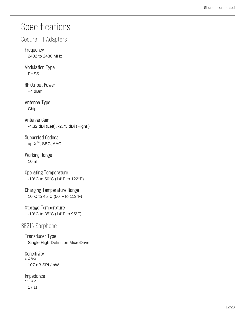# **Specifications**

#### Secure Fit Adapters

#### Frequency 2402 to 2480 MHz

#### Modulation Type **FHSS**

RF Output Power +4 dBm

#### Antenna Type Chip

Antenna Gain -4.32 dBi (Left), -2.73 dBi (Right )

Supported Codecs apt $X^M$ , SBC, AAC

Working Range 10 m

Operating Temperature -10°C to 50°C (14°F to 122°F)

Charging Temperature Range 10°C to 45°C (50°F to 113°F)

#### Storage Temperature

-10°C to 35°C (14°F to 95°F)

#### SE215 Earphone

Transducer Type Single High-Definition MicroDriver

#### **Sensitivity** *at 1 kHz*

107 dB SPL/mW

#### Impedance

*at 1 kHz*

17 Ω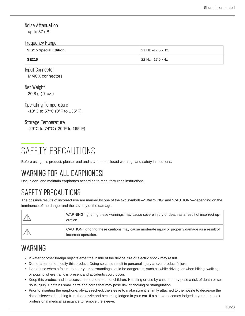#### Noise Attenuation

up to 37 dB

#### Frequency Range

| SE215 Special Edition | 21 Hz -17.5 kHz |
|-----------------------|-----------------|
| <b>SE215</b>          | 22 Hz –17.5 kHz |

#### Input Connector

MMCX connectors

Net Weight

20.8 g (.7 oz.)

#### Operating Temperature

-18°C to 57°C (0°F to 135°F)

#### Storage Temperature

-29°C to 74°C (-20°F to 165°F)

# <span id="page-12-0"></span>SAFETY PRECAUTIONS

Before using this product, please read and save the enclosed warnings and safety instructions.

# <span id="page-12-1"></span>WARNING FOR ALL EARPHONES!

Use, clean, and maintain earphones according to manufacturer's instructions.

# <span id="page-12-2"></span>SAFETY PRECAUTIONS

The possible results of incorrect use are marked by one of the two symbols—"WARNING" and "CAUTION"—depending on the imminence of the danger and the severity of the damage.

| WARNING: Ignoring these warnings may cause severe injury or death as a result of incorrect op-<br>eration.           |
|----------------------------------------------------------------------------------------------------------------------|
| CAUTION: Ignoring these cautions may cause moderate injury or property damage as a result of<br>incorrect operation. |

# <span id="page-12-3"></span>WARNING

- If water or other foreign objects enter the inside of the device, fire or electric shock may result.
- Do not attempt to modify this product. Doing so could result in personal injury and/or product failure.
- Do not use when a failure to hear your surroundings could be dangerous, such as while driving, or when biking, walking, or jogging where traffic is present and accidents could occur.
- Keep this product and its accessories out of reach of children. Handling or use by children may pose a risk of death or serious injury. Contains small parts and cords that may pose risk of choking or strangulation.
- Prior to inserting the earphone, always recheck the sleeve to make sure it is firmly attached to the nozzle to decrease the risk of sleeves detaching from the nozzle and becoming lodged in your ear. If a sleeve becomes lodged in your ear, seek professional medical assistance to remove the sleeve.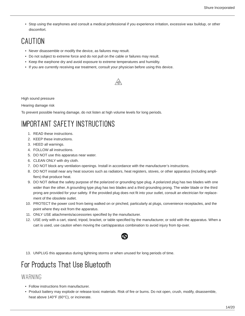• Stop using the earphones and consult a medical professional if you experience irritation, excessive wax buildup, or other discomfort.

# <span id="page-13-0"></span>CAUTION

- Never disassemble or modify the device, as failures may result.
- Do not subject to extreme force and do not pull on the cable or failures may result.
- Keep the earphone dry and avoid exposure to extreme temperatures and humidity.
- If you are currently receiving ear treatment, consult your physician before using this device.



High sound pressure

Hearing damage risk

To prevent possible hearing damage, do not listen at high volume levels for long periods.

# <span id="page-13-1"></span>IMPORTANT SAFETY INSTRUCTIONS

- 1. READ these instructions.
- 2. KEEP these instructions.
- 3. HEED all warnings.
- 4. FOLLOW all instructions.
- 5. DO NOT use this apparatus near water.
- 6. CLEAN ONLY with dry cloth.
- 7. DO NOT block any ventilation openings. Install in accordance with the manufacturer's instructions.
- 8. DO NOT install near any heat sources such as radiators, heat registers, stoves, or other apparatus (including amplifiers) that produce heat.
- 9. DO NOT defeat the safety purpose of the polarized or grounding type plug. A polarized plug has two blades with one wider than the other. A grounding type plug has two blades and a third grounding prong. The wider blade or the third prong are provided for your safety. If the provided plug does not fit into your outlet, consult an electrician for replacement of the obsolete outlet.
- 10. PROTECT the power cord from being walked on or pinched, particularly at plugs, convenience receptacles, and the point where they exit from the apparatus.
- 11. ONLY USE attachments/accessories specified by the manufacturer.
- 12. USE only with a cart, stand, tripod, bracket, or table specified by the manufacturer, or sold with the apparatus. When a cart is used, use caution when moving the cart/apparatus combination to avoid injury from tip-over.



13. UNPLUG this apparatus during lightning storms or when unused for long periods of time.

# <span id="page-13-2"></span>For Products That Use Bluetooth

#### WARNING

- Follow instructions from manufacturer.
- Product battery may explode or release toxic materials. Risk of fire or burns. Do not open, crush, modify, disassemble, heat above 140°F (60°C), or incinerate.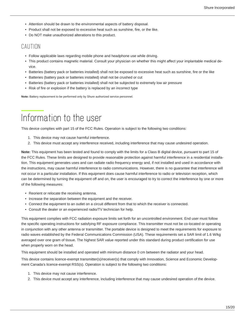- Attention should be drawn to the environmental aspects of battery disposal.
- Product shall not be exposed to excessive heat such as sunshine, fire, or the like.
- Do NOT make unauthorized alterations to this product.

#### **CAUTION**

- Follow applicable laws regarding mobile phone and headphone use while driving.
- This product contains magnetic material. Consult your physician on whether this might affect your implantable medical device.
- Batteries (battery pack or batteries installed) shall not be exposed to excessive heat such as sunshine, fire or the like
- Batteries (battery pack or batteries installed) shall not be crushed or cut
- Batteries (battery pack or batteries installed) shall not be subjected to extremely low air pressure
- Risk of fire or explosion if the battery is replaced by an incorrect type

**Note:** Battery replacement to be performed only by Shure authorized service personnel.

# <span id="page-14-0"></span>Information to the user

This device complies with part 15 of the FCC Rules. Operation is subject to the following two conditions:

- 1. This device may not cause harmful interference.
- 2. This device must accept any interference received, including interference that may cause undesired operation.

**Note:** This equipment has been tested and found to comply with the limits for a Class B digital device, pursuant to part 15 of the FCC Rules. These limits are designed to provide reasonable protection against harmful interference in a residential installation. This equipment generates uses and can radiate radio frequency energy and, if not installed and used in accordance with the instructions, may cause harmful interference to radio communications. However, there is no guarantee that interference will not occur in a particular installation. If this equipment does cause harmful interference to radio or television reception, which can be determined by turning the equipment off and on, the user is encouraged to try to correct the interference by one or more of the following measures:

- Reorient or relocate the receiving antenna.
- Increase the separation between the equipment and the receiver.
- Connect the equipment to an outlet on a circuit different from that to which the receiver is connected.
- Consult the dealer or an experienced radio/TV technician for help.

This equipment complies with FCC radiation exposure limits set forth for an uncontrolled environment. End user must follow the specific operating instructions for satisfying RF exposure compliance. This transmitter must not be co-located or operating in conjunction with any other antenna or transmitter. The portable device is designed to meet the requirements for exposure to radio waves established by the Federal Communications Commission (USA). These requirements set a SAR limit of 1.6 W/kg averaged over one gram of tissue. The highest SAR value reported under this standard during product certification for use when properly worn on the head.

This equipment should be installed and operated with minimum distance 0 cm between the radiator and your head.

This device contains licence-exempt transmitter(s)/receiver(s) that comply with Innovation, Science and Economic Development Canada's licence-exempt RSS(s). Operation is subject to the following two conditions:

- 1. This device may not cause interference.
- 2. This device must accept any interference, including interference that may cause undesired operation of the device.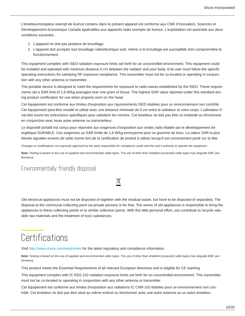L'émetteur/récepteur exempt de licence contenu dans le présent appareil est conforme aux CNR d'Innovation, Sciences et Développement économique Canada applicables aux appareils radio exempts de licence. L'exploitation est autorisée aux deux conditions suivantes :

- 1. L'appareil ne doit pas produire de brouillage;
- 2. L'appareil doit accepter tout brouillage radioélectrique subi, même si le brouillage est susceptible d'en compromettre le fonctionnement.

This equipment complies with ISED radiation exposure limits set forth for an uncontrolled environment. This equipment could be installed and operated with minimum distance 0 cm between the radiator and your body. End user must follow the specific operating instructions for satisfying RF exposure compliance. This transmitter must not be co-located or operating in conjunction with any other antenna or transmitter.

The portable device is designed to meet the requirements for exposure to radio waves established by the ISED. These requirements set a SAR limit of 1.6 W/kg averaged over one gram of tissue. The highest SAR value reported under this standard during product certification for use when properly worn on the head.

Cet équipement est conforme aux limites d'exposition aux rayonnements ISED établies pour un environnement non contrôlé. Cet équipement peut-être installé et utilisé avec une distance minimale de 0 cm entre le radiateur et votre corps. L'utilisateur final doit suivre les instructions spécifiques pour satisfaire les normes. Cet émetteur ne doit pas être co-implanté ou fonctionner en conjonction avec toute autre antenne ou transmetteur.

Le dispositif portatif est conçu pour répondre aux exigences d'exposition aux ondes radio établie par le développement énergétique DURABLE. Ces exigences un SAR limite de 1,6 W/kg enmoyenne pour un gramme de tissu. La valeur SAR la plus élevée signalée envertu de cette norme lors de la certification de produit à utiliser lorsqu'il est correctement porté sur la tête.

Changes or modifications not expressly approved by the party responsible for compliance could void the user's authority to operate the equipment.

**Note:** Testing is based on the use of supplied and recommended cable types. The use of other than shielded (screened) cable types may degrade EMC performance.

 $\cancel{\mathbb{R}}$ 

#### Environmentally friendly disposal

Old electrical appliances must not be disposed of together with the residual waste, but have to be disposed of separately. The disposal at the communal collecting point via private persons is for free. The owner of old appliances is responsible to bring the appliances to these collecting points or to similar collection points. With this little personal effort, you contribute to recycle valuable raw materials and the treatment of toxic substances.

# <span id="page-15-0"></span>**Certifications**

Visit http://www.shure.com/earphones for the latest regulatory and compliance information.

**Note:** Testing is based on the use of supplied and recommended cable types. The use of other than shielded (screened) cable types may degrade EMC performance.

This product meets the Essential Requirements of all relevant European directives and is eligible for CE marking.

This equipment complies with IC RSS-102 radiation exposure limits set forth for an uncontrolled environment. This transmitter must not be co-located or operating in conjunction with any other antenna or transmitter.

Cet équipement est conforme aux limites d'exposition aux radiations IC CNR-102 établies pour un environnement non contrôlé. Cet émetteur ne doit pas être situé au même endroit ou fonctionner avec une autre antenne ou un autre émetteur.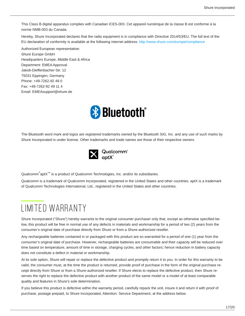This Class B digital apparatus complies with Canadian ICES-003. Cet appareil numérique de la classe B est conforme à la norme NMB-003 du Canada.

Hereby, Shure Incorporated declares that the radio equipment is in compliance with Directive 2014/53/EU. The full text of the EU declaration of conformity is available at the following internet address: http://www.shure.com/europe/compliance

Authorized European representative: Shure Europe GmbH Headquarters Europe, Middle East & Africa Department: EMEA Approval Jakob-Dieffenbacher-Str. 12 75031 Eppingen, Germany Phone: +49-7262-92 49 0 Fax: +49-7262-92 49 11 4 Email: EMEAsupport@shure.de



The Bluetooth word mark and logos are registered trademarks owned by the Bluetooth SIG, Inc. and any use of such marks by Shure Incorporated is under license. Other trademarks and trade names are those of their respective owners.



Qualcomm $^{\circ}$ aptX $^{\text{\tiny{\textsf{TM}}}}$  is a product of Qualcomm Technologies, Inc. and/or its subsidiaries.

Qualcomm is a trademark of Qualcomm Incorporated, registered in the United States and other countries. aptX is a trademark of Qualcomm Technologies International, Ltd., registered in the United States and other countries.

# <span id="page-16-0"></span>LIMITED WARRANTY

Shure Incorporated ("Shure") hereby warrants to the original consumer purchaser only that, except as otherwise specified below, this product will be free in normal use of any defects in materials and workmanship for a period of two (2) years from the consumer's original date of purchase directly from Shure or from a Shure-authorized reseller.

Any rechargeable batteries contained in or packaged with this product are so warranted for a period of one (1) year from the consumer's original date of purchase. However, rechargeable batteries are consumable and their capacity will be reduced over time based on temperature, amount of time in storage, charging cycles, and other factors; hence reduction in battery capacity does not constitute a defect in material or workmanship.

At its sole option, Shure will repair or replace the defective product and promptly return it to you. In order for this warranty to be valid, the consumer must, at the time the product is returned, provide proof of purchase in the form of the original purchase receipt directly from Shure or from a Shure-authorized reseller. If Shure elects to replace the defective product, then Shure reserves the right to replace the defective product with another product of the same model or a model of at least comparable quality and features in Shure's sole determination.

If you believe this product is defective within the warranty period, carefully repack the unit, insure it and return it with proof of purchase, postage prepaid, to Shure Incorporated, Attention: Service Department, at the address below.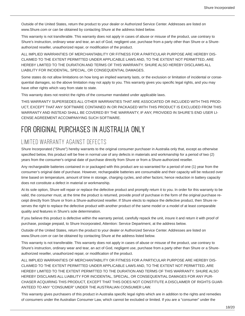Outside of the United States, return the product to your dealer or Authorized Service Center. Addresses are listed on www.Shure.com or can be obtained by contacting Shure at the address listed below.

This warranty is not transferable. This warranty does not apply in cases of abuse or misuse of the product, use contrary to Shure's instruction, ordinary wear and tear, an act of God, negligent use, purchase from a party other than Shure or a Shureauthorized reseller, unauthorized repair, or modification of the product.

ALL IMPLIED WARRANTIES OF MERCHANTABILITY OR FITNESS FOR A PARTICULAR PURPOSE ARE HEREBY DIS-CLAIMED TO THE EXTENT PERMITTED UNDER APPLICABLE LAWS AND, TO THE EXTENT NOT PERMITTED, ARE HEREBY LIMITED TO THE DURATION AND TERMS OF THIS WARRANTY. SHURE ALSO HEREBY DISCLAIMS ALL LIABILITY FOR INCIDENTAL, SPECIAL, OR CONSEQUENTIAL DAMAGES.

Some states do not allow limitations on how long an implied warranty lasts, or the exclusion or limitation of incidental or consequential damages, so the above limitation may not apply to you. This warranty gives you specific legal rights, and you may have other rights which vary from state to state.

This warranty does not restrict the rights of the consumer mandated under applicable laws.

THIS WARRANTY SUPERSEDES ALL OTHER WARRANTIES THAT ARE ASSOCIATED OR INCLUDED WITH THIS PROD-UCT, EXCEPT THAT ANY SOFTWARE CONTAINED IN OR PACKAGED WITH THIS PRODUCT IS EXCLUDED FROM THIS WARRANTY AND INSTEAD SHALL BE COVERED BY THE WARRANTY, IF ANY, PROVIDED IN SHURE'S END USER LI-CENSE AGREEMENT ACCOMPANYING SUCH SOFTWARE.

## <span id="page-17-0"></span>FOR ORIGINAL PURCHASES IN AUSTRALIA ONLY

#### LIMITED WARRANTY AGAINST DEFECTS

Shure Incorporated ("Shure") hereby warrants to the original consumer purchaser in Australia only that, except as otherwise specified below, this product will be free in normal use of any defects in materials and workmanship for a period of two (2) years from the consumer's original date of purchase directly from Shure or from a Shure-authorized reseller.

Any rechargeable batteries contained in or packaged with this product are so warranted for a period of one (1) year from the consumer's original date of purchase. However, rechargeable batteries are consumable and their capacity will be reduced over time based on temperature, amount of time in storage, charging cycles, and other factors; hence reduction in battery capacity does not constitute a defect in material or workmanship.

At its sole option, Shure will repair or replace the defective product and promptly return it to you. In order for this warranty to be valid, the consumer must, at the time the product is returned, provide proof of purchase in the form of the original purchase receipt directly from Shure or from a Shure-authorized reseller. If Shure elects to replace the defective product, then Shure reserves the right to replace the defective product with another product of the same model or a model of at least comparable quality and features in Shure's sole determination.

If you believe this product is defective within the warranty period, carefully repack the unit, insure it and return it with proof of purchase, postage prepaid, to Shure Incorporated, Attention: Service Department, at the address below.

Outside of the United States, return the product to your dealer or Authorized Service Center. Addresses are listed on www.Shure.com or can be obtained by contacting Shure at the address listed below.

This warranty is not transferable. This warranty does not apply in cases of abuse or misuse of the product, use contrary to Shure's instruction, ordinary wear and tear, an act of God, negligent use, purchase from a party other than Shure or a Shureauthorized reseller, unauthorized repair, or modification of the product.

ALL IMPLIED WARRANTIES OF MERCHANTABILITY OR FITNESS FOR A PARTICULAR PURPOSE ARE HEREBY DIS-CLAIMED TO THE EXTENT PERMITTED UNDER APPLICABLE LAWS AND, TO THE EXTENT NOT PERMITTED, ARE HEREBY LIMITED TO THE EXTENT PERMITTED TO THE DURATION AND TERMS OF THIS WARRANTY. SHURE ALSO HEREBY DISCLAIMS ALL LIABILITY FOR INCIDENTAL, SPECIAL, OR CONSEQUENTIAL DAMAGES FOR ANY PUR-CHASER ACQUIRING THIS PRODUCT, EXCEPT THAT THIS DOES NOT CONSTITUTE A DISCLAIMER OF RIGHTS GUAR-ANTEED TO ANY "CONSUMER" UNDER THE AUSTRALIAN CONSUMER LAW.

This warranty gives purchasers of this product in Australia specific legal rights which are in addition to the rights and remedies of consumers under the Australian Consumer Law, which cannot be excluded or limited. If you are a "consumer" under the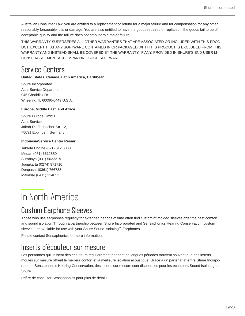Australian Consumer Law, you are entitled to a replacement or refund for a major failure and for compensation for any other reasonably forseeable loss or damage. You are also entitled to have the goods repaired or replaced if the goods fail to be of acceptable quality and the failure does not amount to a major failure.

THIS WARRANTY SUPERSEDES ALL OTHER WARRANTIES THAT ARE ASSOCIATED OR INCLUDED WITH THIS PROD-UCT, EXCEPT THAT ANY SOFTWARE CONTAINED IN OR PACKAGED WITH THIS PRODUCT IS EXCLUDED FROM THIS WARRANTY AND INSTEAD SHALL BE COVERED BY THE WARRANTY, IF ANY, PROVIDED IN SHURE'S END USER LI-CENSE AGREEMENT ACCOMPANYING SUCH SOFTWARE.

## <span id="page-18-0"></span>Service Centers

**United States, Canada, Latin America, Caribbean**

Shure Incorporated Attn: Service Department 945 Chaddick Dr. Wheeling, IL 60090-6449 U.S.A.

#### **Europe, Middle East, and Africa**

Shure Europe GmbH Attn: Service Jakob-Dieffenbacher-Str. 12, 75031 Eppingen, Germany

#### **IndonesiaService Center Resmi:**

Jakarta Hotline (021) 612 6388 Medan (061) 6612550 Surabaya (031) 5032219 Jogjakarta (0274) 371710 Denpasar (0361) 766788 Makasar (0411) 324652

# <span id="page-18-1"></span>In North America:

# <span id="page-18-2"></span>Custom Earphone Sleeves

Those who use earphones regularly for extended periods of time often find custom-fit molded sleeves offer the best comfort and sound isolation.Through a partnership between Shure Incorporated and Sensaphonics Hearing Conservation, custom sleeves are available for use with your Shure Sound Isolating $^{\text{\tiny{TM}}}$  Earphones.

Please contact Sensaphonics for more information.

## <span id="page-18-3"></span>Inserts d'écouteur sur mesure

Les personnes qui utilisent des écouteurs régulièrement pendant de longues périodes trouvent souvent que des inserts moulés sur mesure offrent le meilleur confort et la meilleure isolation acoustique. Grâce à un partenariat entre Shure Incorporated et Sensaphonics Hearing Conservation, des inserts sur mesure sont disponibles pour les écouteurs Sound Isolating de Shure.

Prière de consulter Sensaphonics pour plus de détails.